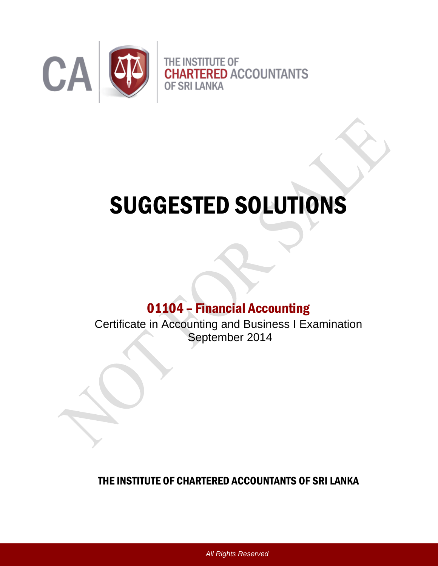

# SUGGESTED SOLUTIONS

# 01104 – Financial Accounting

Certificate in Accounting and Business I Examination September 2014

# THE INSTITUTE OF CHARTERED ACCOUNTANTS OF SRI LANKA

*All Rights Reserved*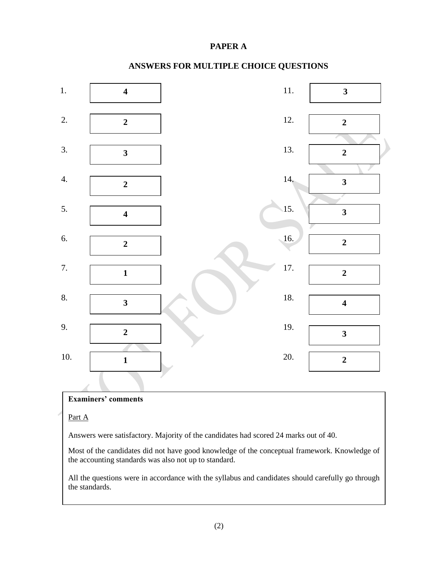#### **PAPER A**



### **ANSWERS FOR MULTIPLE CHOICE QUESTIONS**

#### **Examiners' comments**

#### Part A

Answers were satisfactory. Majority of the candidates had scored 24 marks out of 40.

Most of the candidates did not have good knowledge of the conceptual framework. Knowledge of the accounting standards was also not up to standard.

All the questions were in accordance with the syllabus and candidates should carefully go through the standards.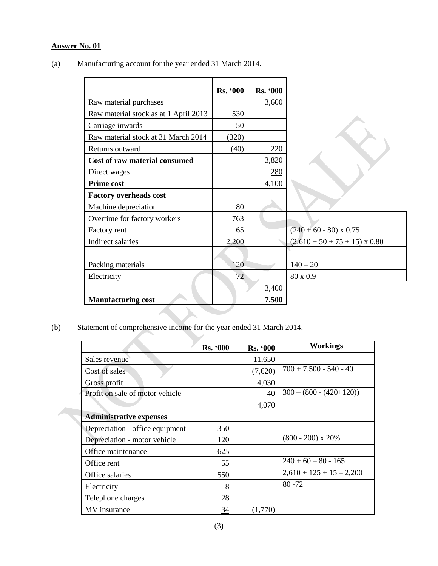# **Answer No. 01**

|                                       | <b>Rs. '000</b> | <b>Rs. '000</b> |                                      |
|---------------------------------------|-----------------|-----------------|--------------------------------------|
| Raw material purchases                |                 | 3,600           |                                      |
| Raw material stock as at 1 April 2013 | 530             |                 |                                      |
| Carriage inwards                      | 50              |                 |                                      |
| Raw material stock at 31 March 2014   | (320)           |                 |                                      |
| Returns outward                       | (40)            | <u>220</u>      |                                      |
| Cost of raw material consumed         |                 | 3,820           |                                      |
| Direct wages                          |                 | 280             |                                      |
| <b>Prime cost</b>                     |                 | 4,100           |                                      |
| <b>Factory overheads cost</b>         |                 |                 |                                      |
| Machine depreciation                  | 80              |                 |                                      |
| Overtime for factory workers          | 763             |                 |                                      |
| Factory rent                          | 165             |                 | $(240 + 60 - 80)$ x 0.75             |
| Indirect salaries                     | 2,200           |                 | $(2,610 + 50 + 75 + 15) \times 0.80$ |
|                                       |                 |                 |                                      |
| Packing materials                     | 120             |                 | $140 - 20$                           |
| Electricity                           | 72              |                 | 80 x 0.9                             |
|                                       |                 | 3,400           |                                      |
| <b>Manufacturing cost</b>             |                 | 7,500           |                                      |

 $\overline{\phantom{0}}$ 

(a) Manufacturing account for the year ended 31 March 2014.

(b) Statement of comprehensive income for the year ended 31 March 2014.

|                                 | <b>Rs. '000</b> | <b>Rs. '000</b> | <b>Workings</b>             |
|---------------------------------|-----------------|-----------------|-----------------------------|
| Sales revenue                   |                 | 11,650          |                             |
| Cost of sales                   |                 | (7,620)         | $700 + 7,500 - 540 - 40$    |
| Gross profit                    |                 | 4,030           |                             |
| Profit on sale of motor vehicle |                 | 40              | $300 - (800 - (420 + 120))$ |
|                                 |                 | 4,070           |                             |
| <b>Administrative expenses</b>  |                 |                 |                             |
| Depreciation - office equipment | 350             |                 |                             |
| Depreciation - motor vehicle    | 120             |                 | $(800 - 200)$ x 20%         |
| Office maintenance              | 625             |                 |                             |
| Office rent                     | 55              |                 | $240 + 60 - 80 - 165$       |
| Office salaries                 | 550             |                 | $2,610 + 125 + 15 - 2,200$  |
| Electricity                     | 8               |                 | $80 - 72$                   |
| Telephone charges               | 28              |                 |                             |
| MV insurance                    | 34              | (1,770)         |                             |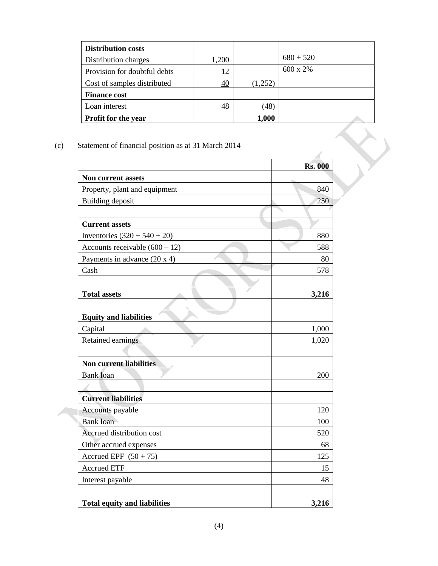| <b>Distribution costs</b>    |       |         |                  |
|------------------------------|-------|---------|------------------|
| Distribution charges         | 1,200 |         | $680 + 520$      |
| Provision for doubtful debts | 12    |         | $600 \times 2\%$ |
| Cost of samples distributed  | 40    | (1,252) |                  |
| <b>Finance cost</b>          |       |         |                  |
| Loan interest                | 48    | (48)    |                  |
| <b>Profit for the year</b>   |       | 1,000   |                  |

## (c) Statement of financial position as at 31 March 2014

| Statement of financial position as at 31 March 2014 |                |  |
|-----------------------------------------------------|----------------|--|
|                                                     | <b>Rs. 000</b> |  |
| Non current assets                                  |                |  |
| Property, plant and equipment                       | 840            |  |
| Building deposit                                    | 250            |  |
|                                                     |                |  |
| <b>Current assets</b>                               |                |  |
| Inventories $(320 + 540 + 20)$                      | 880            |  |
| Accounts receivable $(600 - 12)$                    | 588            |  |
| Payments in advance (20 x 4)                        | 80             |  |
| Cash                                                | 578            |  |
|                                                     |                |  |
| <b>Total assets</b>                                 | 3,216          |  |
|                                                     |                |  |
| <b>Equity and liabilities</b>                       |                |  |
| Capital                                             | 1,000          |  |
| Retained earnings                                   | 1,020          |  |
|                                                     |                |  |
| <b>Non current liabilities</b>                      |                |  |
| <b>Bank</b> loan                                    | 200            |  |
|                                                     |                |  |
| <b>Current liabilities</b>                          |                |  |
| Accounts payable                                    | 120            |  |
| <b>Bank</b> loan                                    | 100            |  |
| Accrued distribution cost                           | 520            |  |
| Other accrued expenses                              | 68             |  |
| Accrued EPF $(50 + 75)$                             | 125            |  |
| <b>Accrued ETF</b>                                  | 15             |  |
| Interest payable                                    | 48             |  |
|                                                     |                |  |
| <b>Total equity and liabilities</b>                 | 3,216          |  |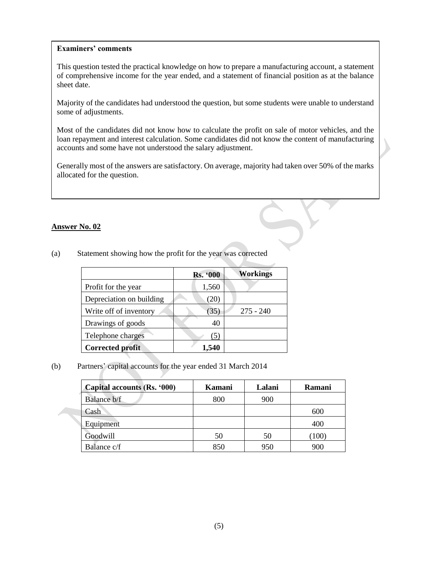#### **Examiners' comments**

This question tested the practical knowledge on how to prepare a manufacturing account, a statement of comprehensive income for the year ended, and a statement of financial position as at the balance sheet date.

Majority of the candidates had understood the question, but some students were unable to understand some of adjustments.

Most of the candidates did not know how to calculate the profit on sale of motor vehicles, and the loan repayment and interest calculation. Some candidates did not know the content of manufacturing accounts and some have not understood the salary adjustment.

Generally most of the answers are satisfactory. On average, majority had taken over 50% of the marks allocated for the question.

#### **Answer No. 02**

|                          | <b>Rs. '000</b> | <b>Workings</b> |
|--------------------------|-----------------|-----------------|
| Profit for the year      | 1,560           |                 |
| Depreciation on building | 20)             |                 |
| Write off of inventory   | (35)            | $275 - 240$     |
| Drawings of goods        | 40              |                 |
| Telephone charges        |                 |                 |
| <b>Corrected profit</b>  | 1.540           |                 |

(a) Statement showing how the profit for the year was corrected

#### (b) Partners' capital accounts for the year ended 31 March 2014

| Capital accounts (Rs. '000) | Kamani | Lalani | Ramani |
|-----------------------------|--------|--------|--------|
| Balance b/f                 | 800    | 900    |        |
| Cash                        |        |        | 600    |
| Equipment                   |        |        | 400    |
| Goodwill                    | 50     | 50     | (100)  |
| Balance c/f                 | 850    | 950    | 900    |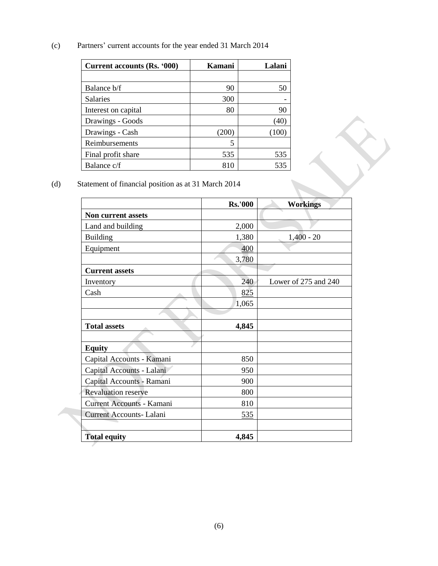(c) Partners' current accounts for the year ended 31 March 2014

| Current accounts (Rs. '000) | Kamani | Lalani |
|-----------------------------|--------|--------|
|                             |        |        |
| Balance b/f                 | 90     | 50     |
| <b>Salaries</b>             | 300    |        |
| Interest on capital         | 80     | 90     |
| Drawings - Goods            |        | (40    |
| Drawings - Cash             | (200)  | (100)  |
| Reimbursements              | 5      |        |
| Final profit share          | 535    | 535    |
| Balance c/f                 | 810    | 535    |

(d) Statement of financial position as at 31 March 2014

|                            | <b>Rs.'000</b> | <b>Workings</b>      |
|----------------------------|----------------|----------------------|
| <b>Non current assets</b>  |                |                      |
| Land and building          | 2,000          |                      |
| <b>Building</b>            | 1,380          | $1,400 - 20$         |
| Equipment                  | 400            |                      |
|                            | 3,780          |                      |
| <b>Current assets</b>      |                |                      |
| Inventory                  | 240            | Lower of 275 and 240 |
| Cash                       | 825            |                      |
|                            | 1,065          |                      |
|                            |                |                      |
| <b>Total assets</b>        | 4,845          |                      |
|                            |                |                      |
| <b>Equity</b>              |                |                      |
| Capital Accounts - Kamani  | 850            |                      |
| Capital Accounts - Lalani  | 950            |                      |
| Capital Accounts - Ramani  | 900            |                      |
| <b>Revaluation reserve</b> | 800            |                      |
| Current Accounts - Kamani  | 810            |                      |
| Current Accounts- Lalani   | 535            |                      |
|                            |                |                      |
| <b>Total equity</b>        | 4,845          |                      |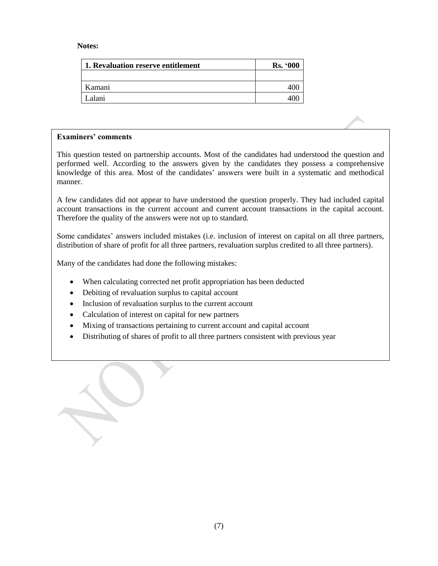#### **Notes:**

| 1. Revaluation reserve entitlement | <b>Rs. '000</b> |
|------------------------------------|-----------------|
|                                    |                 |
| Kamani                             |                 |
| Lalani                             |                 |

#### **Examiners' comments**

This question tested on partnership accounts. Most of the candidates had understood the question and performed well. According to the answers given by the candidates they possess a comprehensive knowledge of this area. Most of the candidates' answers were built in a systematic and methodical manner.

A few candidates did not appear to have understood the question properly. They had included capital account transactions in the current account and current account transactions in the capital account. Therefore the quality of the answers were not up to standard.

Some candidates' answers included mistakes (i.e. inclusion of interest on capital on all three partners, distribution of share of profit for all three partners, revaluation surplus credited to all three partners).

Many of the candidates had done the following mistakes:

- When calculating corrected net profit appropriation has been deducted
- Debiting of revaluation surplus to capital account
- Inclusion of revaluation surplus to the current account
- Calculation of interest on capital for new partners
- Mixing of transactions pertaining to current account and capital account
- Distributing of shares of profit to all three partners consistent with previous year

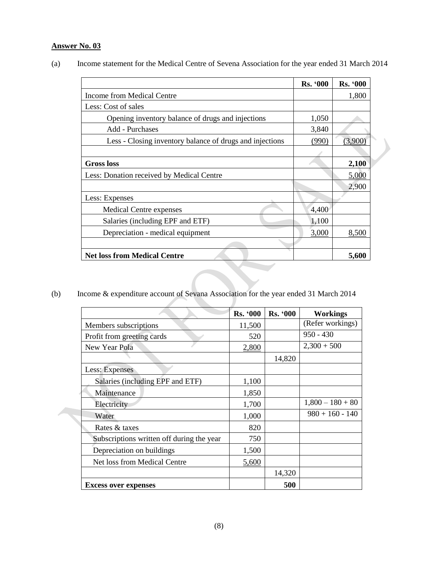# **Answer No. 03**

|                                                          | <b>Rs. '000</b> | <b>Rs. '000</b> |
|----------------------------------------------------------|-----------------|-----------------|
| Income from Medical Centre                               |                 | 1,800           |
| Less: Cost of sales                                      |                 |                 |
| Opening inventory balance of drugs and injections        | 1,050           |                 |
| Add - Purchases                                          | 3,840           |                 |
| Less - Closing inventory balance of drugs and injections | (990)           | (3,900)         |
|                                                          |                 |                 |
| <b>Gross loss</b>                                        |                 | 2,100           |
| Less: Donation received by Medical Centre                |                 | 5,000           |
|                                                          |                 | 2,900           |
| Less: Expenses                                           |                 |                 |
| Medical Centre expenses                                  | 4,400           |                 |
| Salaries (including EPF and ETF)                         | 1,100           |                 |
| Depreciation - medical equipment                         | 3,000           | 8,500           |
|                                                          |                 |                 |
| <b>Net loss from Medical Centre</b>                      |                 | 5,600           |

(a) Income statement for the Medical Centre of Sevena Association for the year ended 31 March 2014

(b) Income & expenditure account of Sevana Association for the year ended 31 March 2014

|                                           | <b>Rs. '000</b> | <b>Rs. '000</b> | <b>Workings</b>    |
|-------------------------------------------|-----------------|-----------------|--------------------|
| Members subscriptions                     | 11,500          |                 | (Refer workings)   |
| Profit from greeting cards                | 520             |                 | $950 - 430$        |
| New Year Pola                             | 2,800           |                 | $2,300 + 500$      |
|                                           |                 | 14,820          |                    |
| Less: Expenses                            |                 |                 |                    |
| Salaries (including EPF and ETF)          | 1,100           |                 |                    |
| Maintenance                               | 1,850           |                 |                    |
| Electricity                               | 1,700           |                 | $1,800 - 180 + 80$ |
| Water                                     | 1,000           |                 | $980 + 160 - 140$  |
| Rates & taxes                             | 820             |                 |                    |
| Subscriptions written off during the year | 750             |                 |                    |
| Depreciation on buildings                 | 1,500           |                 |                    |
| Net loss from Medical Centre              | 5,600           |                 |                    |
|                                           |                 | 14,320          |                    |
| <b>Excess over expenses</b>               |                 | 500             |                    |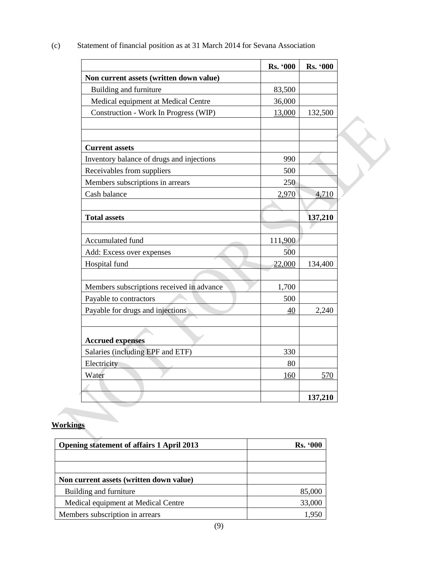|                                           | Rs. '000 | Rs. '000 |
|-------------------------------------------|----------|----------|
| Non current assets (written down value)   |          |          |
| Building and furniture                    | 83,500   |          |
| Medical equipment at Medical Centre       | 36,000   |          |
| Construction - Work In Progress (WIP)     | 13,000   | 132,500  |
|                                           |          |          |
| <b>Current assets</b>                     |          |          |
| Inventory balance of drugs and injections | 990      |          |
| Receivables from suppliers                | 500      |          |
| Members subscriptions in arrears          | 250      |          |
| Cash balance                              | 2,970    | 4,710    |
|                                           |          |          |
| <b>Total assets</b>                       |          | 137,210  |
|                                           |          |          |
| Accumulated fund                          | 111,900  |          |
| Add: Excess over expenses                 | 500      |          |
| Hospital fund                             | 22,000   | 134,400  |
|                                           |          |          |
| Members subscriptions received in advance | 1,700    |          |
| Payable to contractors                    | 500      |          |
| Payable for drugs and injections          | 40       | 2,240    |
| <b>Accrued expenses</b>                   |          |          |
| Salaries (including EPF and ETF)          | 330      |          |
| Electricity                               | 80       |          |
| Water                                     | 160      | 570      |
|                                           |          |          |
|                                           |          | 137,210  |

(c) Statement of financial position as at 31 March 2014 for Sevana Association

# **Workings**

| <b>Rs.</b> '000 |
|-----------------|
|                 |
|                 |
|                 |
| 85,000          |
| 33,000          |
| 1.950           |
|                 |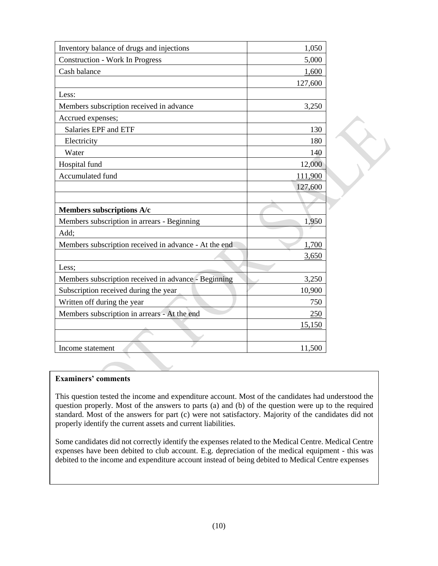| Inventory balance of drugs and injections             | 1,050   |
|-------------------------------------------------------|---------|
| <b>Construction - Work In Progress</b>                | 5,000   |
| Cash balance                                          | 1,600   |
|                                                       | 127,600 |
| Less:                                                 |         |
| Members subscription received in advance              | 3,250   |
| Accrued expenses;                                     |         |
| <b>Salaries EPF and ETF</b>                           | 130     |
| Electricity                                           | 180     |
| Water                                                 | 140     |
| Hospital fund                                         | 12,000  |
| Accumulated fund                                      | 111,900 |
|                                                       | 127,600 |
|                                                       |         |
| Members subscriptions A/c                             |         |
| Members subscription in arrears - Beginning           | 1,950   |
| Add;                                                  |         |
| Members subscription received in advance - At the end | 1,700   |
|                                                       | 3,650   |
| Less;                                                 |         |
| Members subscription received in advance - Beginning  | 3,250   |
| Subscription received during the year                 | 10,900  |
| Written off during the year                           | 750     |
| Members subscription in arrears - At the end          | 250     |
|                                                       | 15,150  |
|                                                       |         |
| Income statement                                      | 11,500  |

#### **Examiners' comments**

This question tested the income and expenditure account. Most of the candidates had understood the question properly. Most of the answers to parts (a) and (b) of the question were up to the required standard. Most of the answers for part (c) were not satisfactory. Majority of the candidates did not properly identify the current assets and current liabilities.

Some candidates did not correctly identify the expenses related to the Medical Centre. Medical Centre expenses have been debited to club account. E.g. depreciation of the medical equipment - this was debited to the income and expenditure account instead of being debited to Medical Centre expenses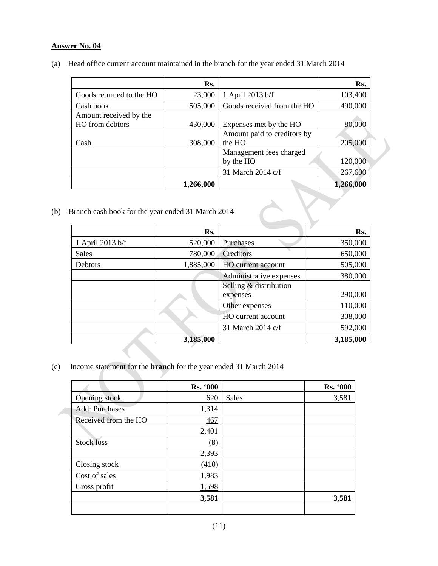#### **Answer No. 04**

(a) Head office current account maintained in the branch for the year ended 31 March 2014

|                          | Rs.       |                             | Rs.       |
|--------------------------|-----------|-----------------------------|-----------|
| Goods returned to the HO | 23,000    | 1 April 2013 b/f            | 103,400   |
| Cash book                | 505,000   | Goods received from the HO  | 490,000   |
| Amount received by the   |           |                             |           |
| HO from debtors          | 430,000   | Expenses met by the HO      | 80,000    |
|                          |           | Amount paid to creditors by |           |
| Cash                     | 308,000   | the HO                      | 205,000   |
|                          |           | Management fees charged     |           |
|                          |           | by the HO                   | 120,000   |
|                          |           | 31 March 2014 c/f           | 267,600   |
|                          | 1,266,000 |                             | 1,266,000 |

(b) Branch cash book for the year ended 31 March 2014

|                  | Rs.       |                                    | Rs.       |
|------------------|-----------|------------------------------------|-----------|
| 1 April 2013 b/f | 520,000   | Purchases                          | 350,000   |
| Sales            | 780,000   | Creditors                          | 650,000   |
| Debtors          | 1,885,000 | HO current account                 | 505,000   |
|                  |           | Administrative expenses            | 380,000   |
|                  |           | Selling & distribution<br>expenses | 290,000   |
|                  |           | Other expenses                     | 110,000   |
|                  |           | HO current account                 | 308,000   |
|                  |           | 31 March 2014 c/f                  | 592,000   |
|                  | 3,185,000 |                                    | 3,185,000 |

(c) Income statement for the **branch** for the year ended 31 March 2014

 $\sqrt{2}$ 

| <b>Rs. '000</b> |              | <b>Rs. '000</b> |
|-----------------|--------------|-----------------|
| 620             | <b>Sales</b> | 3,581           |
| 1,314           |              |                 |
| 467             |              |                 |
| 2,401           |              |                 |
| (8)             |              |                 |
| 2,393           |              |                 |
| (410)           |              |                 |
| 1,983           |              |                 |
| 1,598           |              |                 |
| 3,581           |              | 3,581           |
|                 |              |                 |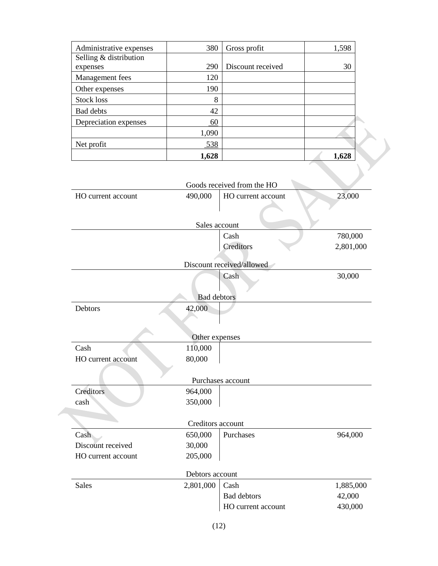| Administrative expenses | 380   | Gross profit      | 1,598 |  |
|-------------------------|-------|-------------------|-------|--|
| Selling & distribution  |       |                   |       |  |
| expenses                | 290   | Discount received | 30    |  |
| Management fees         | 120   |                   |       |  |
| Other expenses          | 190   |                   |       |  |
| Stock loss              | 8     |                   |       |  |
| Bad debts               | 42    |                   |       |  |
| Depreciation expenses   | 60    |                   |       |  |
|                         | 1,090 |                   |       |  |
| Net profit              | 538   |                   |       |  |
|                         | 1,628 |                   | 1,628 |  |

|                    |                   | Goods received from the HO |           |
|--------------------|-------------------|----------------------------|-----------|
| HO current account | 490,000           | HO current account         | 23,000    |
|                    |                   |                            |           |
|                    |                   |                            |           |
|                    | Sales account     |                            |           |
|                    |                   | Cash                       | 780,000   |
|                    |                   | Creditors                  | 2,801,000 |
|                    |                   | Discount received/allowed  |           |
|                    |                   | Cash                       | 30,000    |
|                    |                   |                            |           |
|                    | Bad debtors       |                            |           |
| Debtors            | 42,000            |                            |           |
|                    |                   |                            |           |
|                    |                   |                            |           |
|                    | Other expenses    |                            |           |
| Cash               | 110,000           |                            |           |
| HO current account | 80,000            |                            |           |
|                    |                   |                            |           |
|                    |                   | Purchases account          |           |
| Creditors          | 964,000           |                            |           |
| cash               | 350,000           |                            |           |
|                    |                   |                            |           |
|                    | Creditors account |                            |           |
| Cash               | 650,000           | Purchases                  | 964,000   |
| Discount received  | 30,000            |                            |           |
| HO current account | 205,000           |                            |           |
|                    | Debtors account   |                            |           |
| <b>Sales</b>       |                   |                            |           |
|                    | 2,801,000         | Cash                       | 1,885,000 |
|                    |                   | <b>Bad debtors</b>         | 42,000    |
|                    |                   | HO current account         | 430,000   |
|                    |                   |                            |           |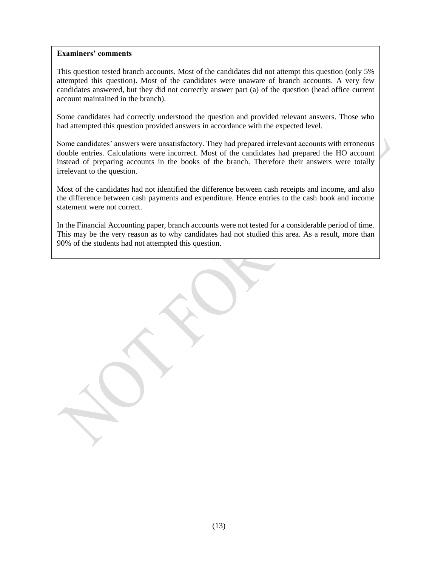#### **Examiners' comments**

This question tested branch accounts. Most of the candidates did not attempt this question (only 5% attempted this question). Most of the candidates were unaware of branch accounts. A very few candidates answered, but they did not correctly answer part (a) of the question (head office current account maintained in the branch).

Some candidates had correctly understood the question and provided relevant answers. Those who had attempted this question provided answers in accordance with the expected level.

Some candidates' answers were unsatisfactory. They had prepared irrelevant accounts with erroneous double entries. Calculations were incorrect. Most of the candidates had prepared the HO account instead of preparing accounts in the books of the branch. Therefore their answers were totally irrelevant to the question.

Most of the candidates had not identified the difference between cash receipts and income, and also the difference between cash payments and expenditure. Hence entries to the cash book and income statement were not correct.

In the Financial Accounting paper, branch accounts were not tested for a considerable period of time. This may be the very reason as to why candidates had not studied this area. As a result, more than 90% of the students had not attempted this question.